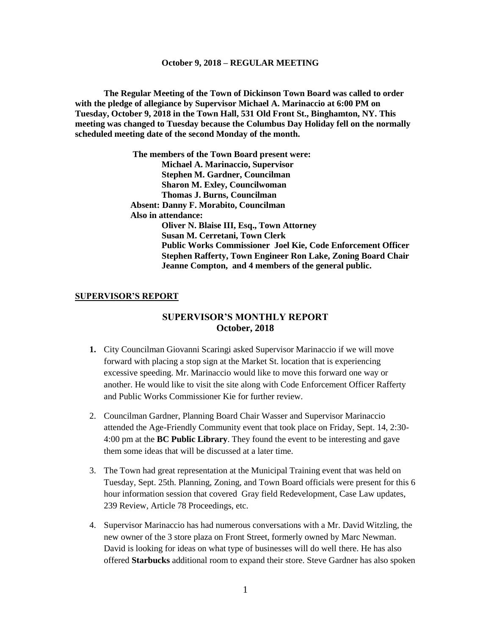**The Regular Meeting of the Town of Dickinson Town Board was called to order with the pledge of allegiance by Supervisor Michael A. Marinaccio at 6:00 PM on Tuesday, October 9, 2018 in the Town Hall, 531 Old Front St., Binghamton, NY. This meeting was changed to Tuesday because the Columbus Day Holiday fell on the normally scheduled meeting date of the second Monday of the month.**

> **The members of the Town Board present were: Michael A. Marinaccio, Supervisor Stephen M. Gardner, Councilman Sharon M. Exley, Councilwoman Thomas J. Burns, Councilman Absent: Danny F. Morabito, Councilman Also in attendance: Oliver N. Blaise III, Esq., Town Attorney Susan M. Cerretani, Town Clerk Public Works Commissioner Joel Kie, Code Enforcement Officer Stephen Rafferty, Town Engineer Ron Lake, Zoning Board Chair Jeanne Compton, and 4 members of the general public.**

#### **SUPERVISOR'S REPORT**

## **SUPERVISOR'S MONTHLY REPORT October, 2018**

- **1.** City Councilman Giovanni Scaringi asked Supervisor Marinaccio if we will move forward with placing a stop sign at the Market St. location that is experiencing excessive speeding. Mr. Marinaccio would like to move this forward one way or another. He would like to visit the site along with Code Enforcement Officer Rafferty and Public Works Commissioner Kie for further review.
- 2. Councilman Gardner, Planning Board Chair Wasser and Supervisor Marinaccio attended the Age-Friendly Community event that took place on Friday, Sept. 14, 2:30- 4:00 pm at the **BC Public Library**. They found the event to be interesting and gave them some ideas that will be discussed at a later time.
- 3. The Town had great representation at the Municipal Training event that was held on Tuesday, Sept. 25th. Planning, Zoning, and Town Board officials were present for this 6 hour information session that covered Gray field Redevelopment, Case Law updates, 239 Review, Article 78 Proceedings, etc.
- 4. Supervisor Marinaccio has had numerous conversations with a Mr. David Witzling, the new owner of the 3 store plaza on Front Street, formerly owned by Marc Newman. David is looking for ideas on what type of businesses will do well there. He has also offered **Starbucks** additional room to expand their store. Steve Gardner has also spoken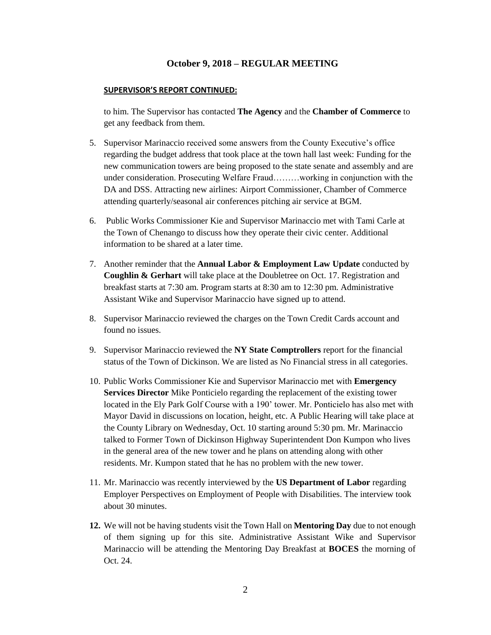#### **SUPERVISOR'S REPORT CONTINUED:**

to him. The Supervisor has contacted **The Agency** and the **Chamber of Commerce** to get any feedback from them.

- 5. Supervisor Marinaccio received some answers from the County Executive's office regarding the budget address that took place at the town hall last week: Funding for the new communication towers are being proposed to the state senate and assembly and are under consideration. Prosecuting Welfare Fraud………working in conjunction with the DA and DSS. Attracting new airlines: Airport Commissioner, Chamber of Commerce attending quarterly/seasonal air conferences pitching air service at BGM.
- 6. Public Works Commissioner Kie and Supervisor Marinaccio met with Tami Carle at the Town of Chenango to discuss how they operate their civic center. Additional information to be shared at a later time.
- 7. Another reminder that the **Annual Labor & Employment Law Update** conducted by **Coughlin & Gerhart** will take place at the Doubletree on Oct. 17. Registration and breakfast starts at 7:30 am. Program starts at 8:30 am to 12:30 pm. Administrative Assistant Wike and Supervisor Marinaccio have signed up to attend.
- 8. Supervisor Marinaccio reviewed the charges on the Town Credit Cards account and found no issues.
- 9. Supervisor Marinaccio reviewed the **NY State Comptrollers** report for the financial status of the Town of Dickinson. We are listed as No Financial stress in all categories.
- 10. Public Works Commissioner Kie and Supervisor Marinaccio met with **Emergency Services Director** Mike Ponticielo regarding the replacement of the existing tower located in the Ely Park Golf Course with a 190' tower. Mr. Ponticielo has also met with Mayor David in discussions on location, height, etc. A Public Hearing will take place at the County Library on Wednesday, Oct. 10 starting around 5:30 pm. Mr. Marinaccio talked to Former Town of Dickinson Highway Superintendent Don Kumpon who lives in the general area of the new tower and he plans on attending along with other residents. Mr. Kumpon stated that he has no problem with the new tower.
- 11. Mr. Marinaccio was recently interviewed by the **US Department of Labor** regarding Employer Perspectives on Employment of People with Disabilities. The interview took about 30 minutes.
- **12.** We will not be having students visit the Town Hall on **Mentoring Day** due to not enough of them signing up for this site. Administrative Assistant Wike and Supervisor Marinaccio will be attending the Mentoring Day Breakfast at **BOCES** the morning of Oct. 24.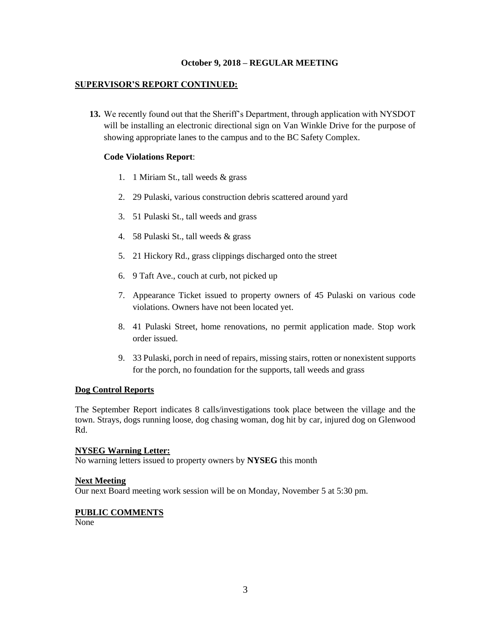### **SUPERVISOR'S REPORT CONTINUED:**

**13.** We recently found out that the Sheriff's Department, through application with NYSDOT will be installing an electronic directional sign on Van Winkle Drive for the purpose of showing appropriate lanes to the campus and to the BC Safety Complex.

### **Code Violations Report**:

- 1. 1 Miriam St., tall weeds & grass
- 2. 29 Pulaski, various construction debris scattered around yard
- 3. 51 Pulaski St., tall weeds and grass
- 4. 58 Pulaski St., tall weeds & grass
- 5. 21 Hickory Rd., grass clippings discharged onto the street
- 6. 9 Taft Ave., couch at curb, not picked up
- 7. Appearance Ticket issued to property owners of 45 Pulaski on various code violations. Owners have not been located yet.
- 8. 41 Pulaski Street, home renovations, no permit application made. Stop work order issued.
- 9. 33 Pulaski, porch in need of repairs, missing stairs, rotten or nonexistent supports for the porch, no foundation for the supports, tall weeds and grass

#### **Dog Control Reports**

The September Report indicates 8 calls/investigations took place between the village and the town. Strays, dogs running loose, dog chasing woman, dog hit by car, injured dog on Glenwood Rd.

#### **NYSEG Warning Letter:**

No warning letters issued to property owners by **NYSEG** this month

#### **Next Meeting**

Our next Board meeting work session will be on Monday, November 5 at 5:30 pm.

#### **PUBLIC COMMENTS**

None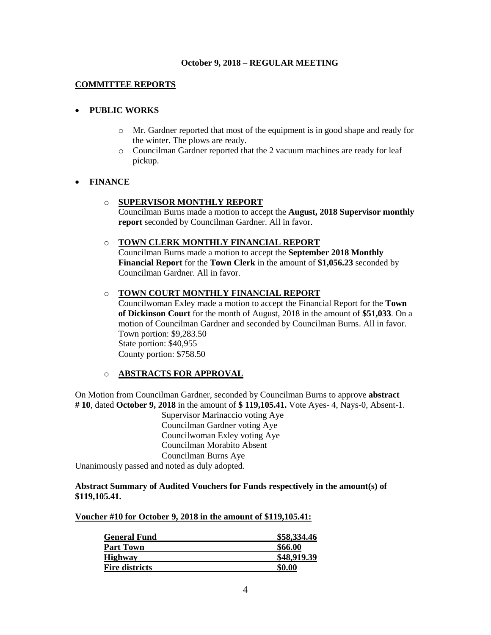### **COMMITTEE REPORTS**

### **PUBLIC WORKS**

- o Mr. Gardner reported that most of the equipment is in good shape and ready for the winter. The plows are ready.
- o Councilman Gardner reported that the 2 vacuum machines are ready for leaf pickup.

#### **FINANCE**

### o **SUPERVISOR MONTHLY REPORT**

Councilman Burns made a motion to accept the **August, 2018 Supervisor monthly report** seconded by Councilman Gardner. All in favor.

### o **TOWN CLERK MONTHLY FINANCIAL REPORT**

Councilman Burns made a motion to accept the **September 2018 Monthly Financial Report** for the **Town Clerk** in the amount of **\$1,056.23** seconded by Councilman Gardner. All in favor.

### o **TOWN COURT MONTHLY FINANCIAL REPORT**

Councilwoman Exley made a motion to accept the Financial Report for the **Town of Dickinson Court** for the month of August, 2018 in the amount of **\$51,033**. On a motion of Councilman Gardner and seconded by Councilman Burns. All in favor. Town portion: \$9,283.50 State portion: \$40,955 County portion: \$758.50

### o **ABSTRACTS FOR APPROVAL**

On Motion from Councilman Gardner, seconded by Councilman Burns to approve **abstract # 10**, dated **October 9, 2018** in the amount of **\$ 119,105.41.** Vote Ayes- 4, Nays-0, Absent-1.

> Supervisor Marinaccio voting Aye Councilman Gardner voting Aye Councilwoman Exley voting Aye Councilman Morabito Absent Councilman Burns Aye

Unanimously passed and noted as duly adopted.

### **Abstract Summary of Audited Vouchers for Funds respectively in the amount(s) of \$119,105.41.**

#### **Voucher #10 for October 9, 2018 in the amount of \$119,105.41:**

| \$58,334.46 |
|-------------|
| \$66.00     |
| \$48,919.39 |
| \$0.00      |
|             |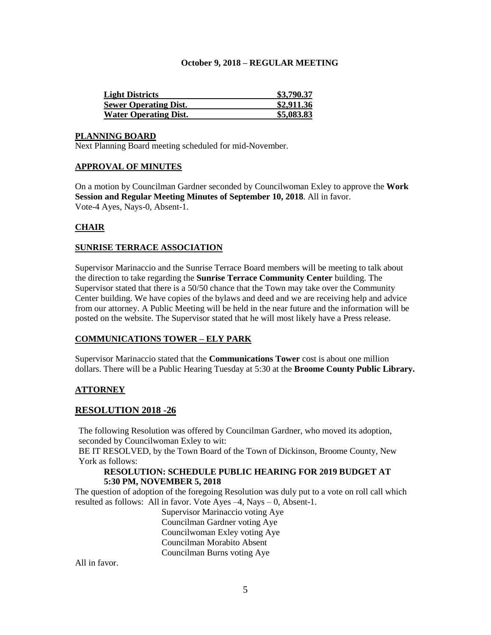| <b>Light Districts</b>       | \$3,790.37 |
|------------------------------|------------|
| <b>Sewer Operating Dist.</b> | \$2,911.36 |
| <b>Water Operating Dist.</b> | \$5,083.83 |

#### **PLANNING BOARD**

Next Planning Board meeting scheduled for mid-November.

### **APPROVAL OF MINUTES**

On a motion by Councilman Gardner seconded by Councilwoman Exley to approve the **Work Session and Regular Meeting Minutes of September 10, 2018**. All in favor. Vote-4 Ayes, Nays-0, Absent-1.

# **CHAIR**

### **SUNRISE TERRACE ASSOCIATION**

Supervisor Marinaccio and the Sunrise Terrace Board members will be meeting to talk about the direction to take regarding the **Sunrise Terrace Community Center** building. The Supervisor stated that there is a 50/50 chance that the Town may take over the Community Center building. We have copies of the bylaws and deed and we are receiving help and advice from our attorney. A Public Meeting will be held in the near future and the information will be posted on the website. The Supervisor stated that he will most likely have a Press release.

### **COMMUNICATIONS TOWER – ELY PARK**

Supervisor Marinaccio stated that the **Communications Tower** cost is about one million dollars. There will be a Public Hearing Tuesday at 5:30 at the **Broome County Public Library.**

### **ATTORNEY**

### **RESOLUTION 2018 -26**

The following Resolution was offered by Councilman Gardner, who moved its adoption, seconded by Councilwoman Exley to wit:

BE IT RESOLVED, by the Town Board of the Town of Dickinson, Broome County, New York as follows:

### **RESOLUTION: SCHEDULE PUBLIC HEARING FOR 2019 BUDGET AT 5:30 PM, NOVEMBER 5, 2018**

The question of adoption of the foregoing Resolution was duly put to a vote on roll call which resulted as follows: All in favor. Vote Ayes  $-4$ , Nays  $-0$ , Absent-1.

Supervisor Marinaccio voting Aye Councilman Gardner voting Aye Councilwoman Exley voting Aye Councilman Morabito Absent Councilman Burns voting Aye

All in favor.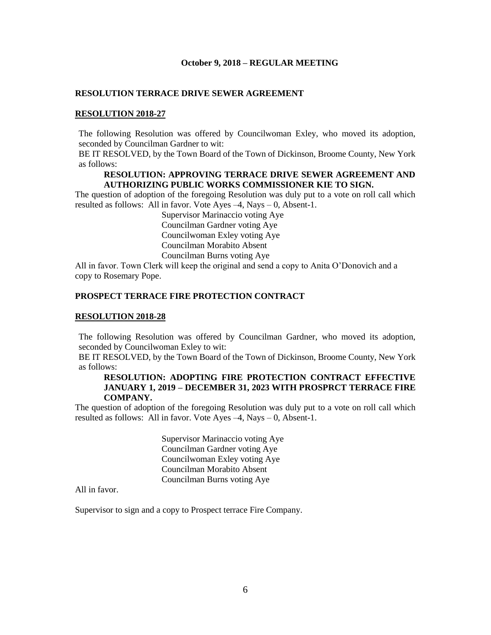### **RESOLUTION TERRACE DRIVE SEWER AGREEMENT**

### **RESOLUTION 2018-27**

The following Resolution was offered by Councilwoman Exley, who moved its adoption, seconded by Councilman Gardner to wit:

BE IT RESOLVED, by the Town Board of the Town of Dickinson, Broome County, New York as follows:

### **RESOLUTION: APPROVING TERRACE DRIVE SEWER AGREEMENT AND AUTHORIZING PUBLIC WORKS COMMISSIONER KIE TO SIGN.**

The question of adoption of the foregoing Resolution was duly put to a vote on roll call which resulted as follows: All in favor. Vote Ayes –4, Nays – 0, Absent-1.

> Supervisor Marinaccio voting Aye Councilman Gardner voting Aye Councilwoman Exley voting Aye Councilman Morabito Absent Councilman Burns voting Aye

All in favor. Town Clerk will keep the original and send a copy to Anita O'Donovich and a copy to Rosemary Pope.

### **PROSPECT TERRACE FIRE PROTECTION CONTRACT**

#### **RESOLUTION 2018-28**

The following Resolution was offered by Councilman Gardner, who moved its adoption, seconded by Councilwoman Exley to wit:

BE IT RESOLVED, by the Town Board of the Town of Dickinson, Broome County, New York as follows:

### **RESOLUTION: ADOPTING FIRE PROTECTION CONTRACT EFFECTIVE JANUARY 1, 2019 – DECEMBER 31, 2023 WITH PROSPRCT TERRACE FIRE COMPANY.**

The question of adoption of the foregoing Resolution was duly put to a vote on roll call which resulted as follows: All in favor. Vote Ayes –4, Nays – 0, Absent-1.

> Supervisor Marinaccio voting Aye Councilman Gardner voting Aye Councilwoman Exley voting Aye Councilman Morabito Absent Councilman Burns voting Aye

All in favor.

Supervisor to sign and a copy to Prospect terrace Fire Company.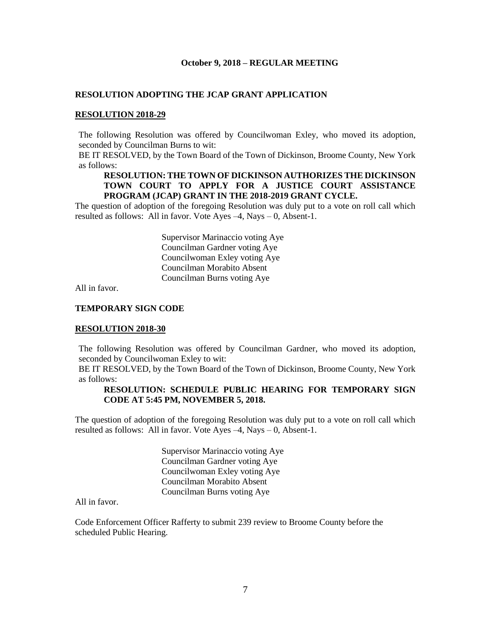### **RESOLUTION ADOPTING THE JCAP GRANT APPLICATION**

#### **RESOLUTION 2018-29**

The following Resolution was offered by Councilwoman Exley, who moved its adoption, seconded by Councilman Burns to wit:

BE IT RESOLVED, by the Town Board of the Town of Dickinson, Broome County, New York as follows:

### **RESOLUTION: THE TOWN OF DICKINSON AUTHORIZES THE DICKINSON TOWN COURT TO APPLY FOR A JUSTICE COURT ASSISTANCE PROGRAM (JCAP) GRANT IN THE 2018-2019 GRANT CYCLE.**

The question of adoption of the foregoing Resolution was duly put to a vote on roll call which resulted as follows: All in favor. Vote Ayes –4, Nays – 0, Absent-1.

> Supervisor Marinaccio voting Aye Councilman Gardner voting Aye Councilwoman Exley voting Aye Councilman Morabito Absent Councilman Burns voting Aye

All in favor.

### **TEMPORARY SIGN CODE**

#### **RESOLUTION 2018-30**

The following Resolution was offered by Councilman Gardner, who moved its adoption, seconded by Councilwoman Exley to wit:

BE IT RESOLVED, by the Town Board of the Town of Dickinson, Broome County, New York as follows:

## **RESOLUTION: SCHEDULE PUBLIC HEARING FOR TEMPORARY SIGN CODE AT 5:45 PM, NOVEMBER 5, 2018.**

The question of adoption of the foregoing Resolution was duly put to a vote on roll call which resulted as follows: All in favor. Vote Ayes  $-4$ , Nays  $-0$ , Absent-1.

> Supervisor Marinaccio voting Aye Councilman Gardner voting Aye Councilwoman Exley voting Aye Councilman Morabito Absent Councilman Burns voting Aye

All in favor.

Code Enforcement Officer Rafferty to submit 239 review to Broome County before the scheduled Public Hearing.